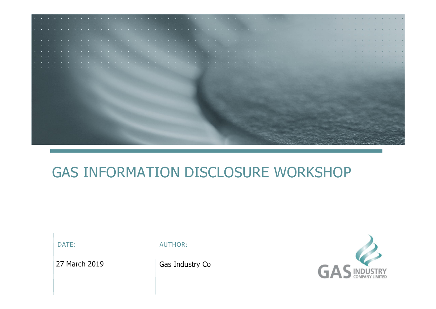

## GAS INFORMATION DISCLOSURE WORKSHOP

DATE:  $\blacksquare$  AUTHOR:

27 March 2019 Gas Industry Co

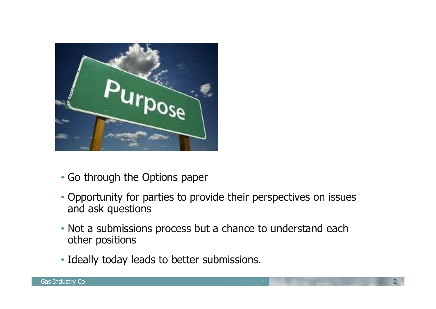

- Go through the Options paper
- Opportunity for parties to provide their perspectives on issues and ask questions
- Not a submissions process but a chance to understand each other positions
- Ideally today leads to better submissions.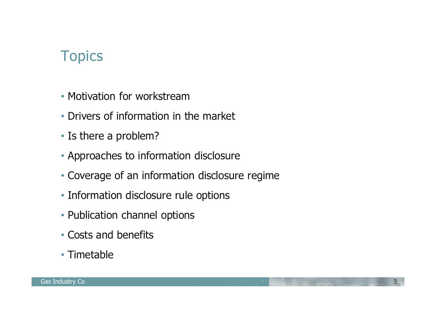- Motivation for workstream
- Drivers of information in the market
- Is there a problem?
- Approaches to information disclosure
- Coverage of an information disclosure regime
- Information disclosure rule options
- Publication channel options
- Costs and benefits
- Timetable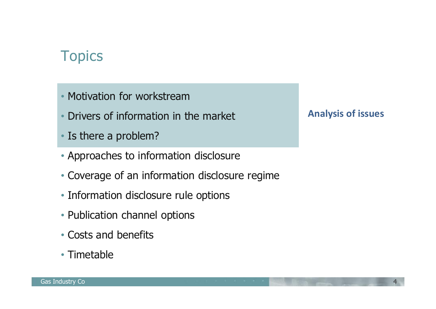- Motivation for workstream
- Drivers of information in the market
- Is there a problem?
- Approaches to information disclosure
- Coverage of an information disclosure regime
- Information disclosure rule options
- Publication channel options
- Costs and benefits
- Timetable

#### **Analysis of issues**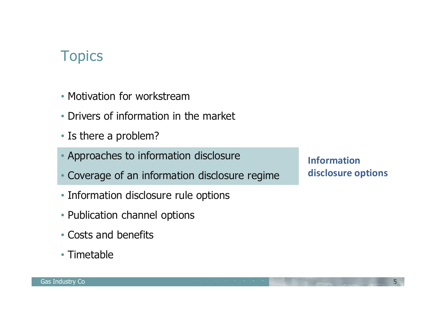- Motivation for workstream
- Drivers of information in the market
- Is there a problem?
- Approaches to information disclosure
- Coverage of an information disclosure regime
- Information disclosure rule options
- Publication channel options
- Costs and benefits
- Timetable

**Information disclosure options**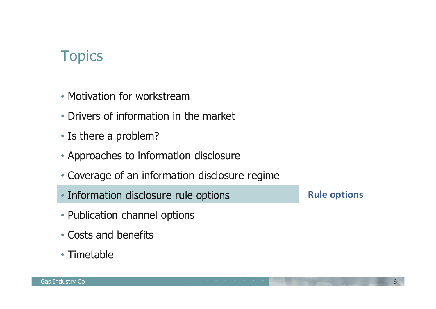- Motivation for workstream
- Drivers of information in the market
- Is there a problem?
- Approaches to information disclosure
- Coverage of an information disclosure regime
- Information disclosure rule options
- Publication channel options
- Costs and benefits
- Timetable

**Rule options**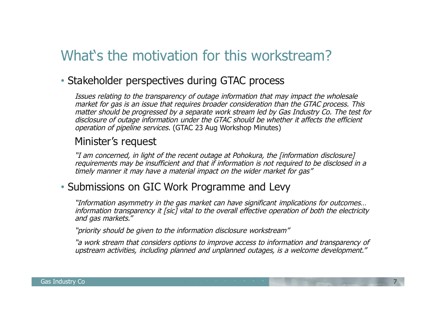### What's the motivation for this workstream?

#### • Stakeholder perspectives during GTAC process

Issues relating to the transparency of outage information that may impact the wholesale market for gas is an issue that requires broader consideration than the GTAC process. This matter should be progressed by a separate work stream led by Gas Industry Co. The test for disclosure of outage information under the GTAC should be whether it affects the efficient operation of pipeline services. (GTAC 23 Aug Workshop Minutes)

#### Minister's request

"I am concerned, in light of the recent outage at Pohokura, the [information disclosure] requirements may be insufficient and that if information is not required to be disclosed in a timely manner it may have a material impact on the wider market for gas"

#### • Submissions on GIC Work Programme and Levy

"Information asymmetry in the gas market can have significant implications for outcomes… information transparency it [sic] vital to the overall effective operation of both the electricity and gas markets."

"priority should be given to the information disclosure workstream"

"a work stream that considers options to improve access to information and transparency of upstream activities, including planned and unplanned outages, is a welcome development."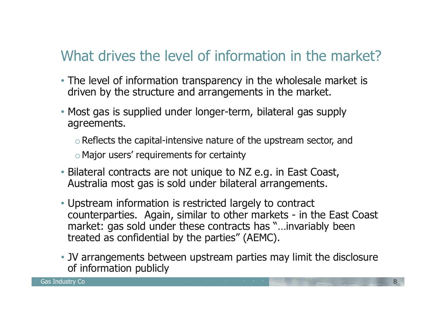## What drives the level of information in the market?

- The level of information transparency in the wholesale market is driven by the structure and arrangements in the market.
- Most gas is supplied under longer-term, bilateral gas supply agreements.
	- $\circ$  Reflects the capital-intensive nature of the upstream sector, and
	- oMajor users' requirements for certainty
- Bilateral contracts are not unique to NZ e.g. in East Coast, Australia most gas is sold under bilateral arrangements.
- Upstream information is restricted largely to contract counterparties. Again, similar to other markets - in the East Coast market: gas sold under these contracts has "…invariably been treated as confidential by the parties" (AEMC).
- JV arrangements between upstream parties may limit the disclosure of information publicly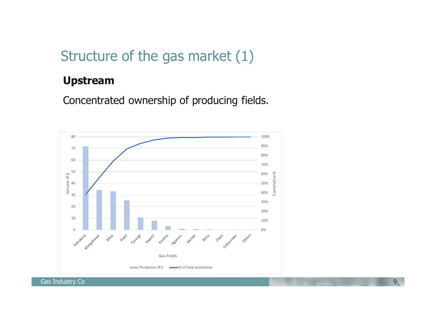### Structure of the gas market (1)

#### **Upstream**

Concentrated ownership of producing fields.

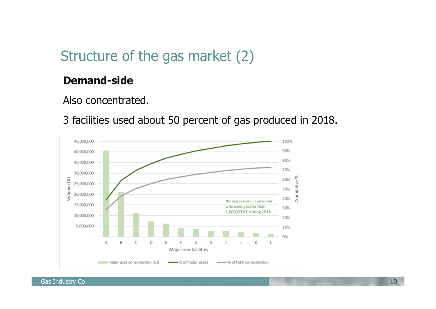### Structure of the gas market (2)

#### **Demand-side**

Also concentrated.

3 facilities used about 50 percent of gas produced in 2018.



Gas Industry Co **10** and 10 and 10 and 10 and 10 and 10 and 10 and 10 and 10 and 10 and 10 and 10 and 10 and 10 and 10 and 10 and 10 and 10 and 10 and 10 and 10 and 10 and 10 and 10 and 10 and 10 and 10 and 10 and 10 and 1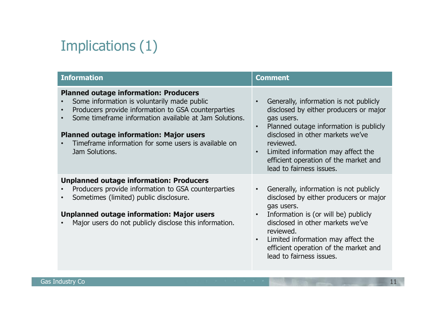# Implications (1)

| <b>Information</b>                                                                                                                                                                                                                                                                                                                       | <b>Comment</b>                                                                                                                                                                                                                                                                                                  |
|------------------------------------------------------------------------------------------------------------------------------------------------------------------------------------------------------------------------------------------------------------------------------------------------------------------------------------------|-----------------------------------------------------------------------------------------------------------------------------------------------------------------------------------------------------------------------------------------------------------------------------------------------------------------|
| <b>Planned outage information: Producers</b><br>Some information is voluntarily made public<br>Producers provide information to GSA counterparties<br>Some timeframe information available at Jam Solutions.<br><b>Planned outage information: Major users</b><br>Timeframe information for some users is available on<br>Jam Solutions. | Generally, information is not publicly<br>disclosed by either producers or major<br>gas users.<br>Planned outage information is publicly<br>disclosed in other markets we've<br>reviewed.<br>Limited information may affect the<br>efficient operation of the market and<br>lead to fairness issues.            |
| <b>Unplanned outage information: Producers</b><br>Producers provide information to GSA counterparties<br>Sometimes (limited) public disclosure.<br><b>Unplanned outage information: Major users</b><br>Major users do not publicly disclose this information.                                                                            | Generally, information is not publicly<br>disclosed by either producers or major<br>gas users.<br>Information is (or will be) publicly<br>$\bullet$<br>disclosed in other markets we've<br>reviewed.<br>Limited information may affect the<br>efficient operation of the market and<br>lead to fairness issues. |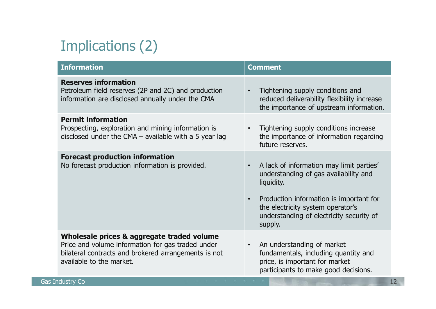# Implications (2)

| <b>Information</b>                                                                                                                                                                  | <b>Comment</b>                                                                                                                                                                                                                                      |
|-------------------------------------------------------------------------------------------------------------------------------------------------------------------------------------|-----------------------------------------------------------------------------------------------------------------------------------------------------------------------------------------------------------------------------------------------------|
| <b>Reserves information</b><br>Petroleum field reserves (2P and 2C) and production<br>information are disclosed annually under the CMA                                              | Tightening supply conditions and<br>reduced deliverability flexibility increase<br>the importance of upstream information.                                                                                                                          |
| <b>Permit information</b><br>Prospecting, exploration and mining information is<br>disclosed under the CMA $-$ available with a 5 year lag                                          | Tightening supply conditions increase<br>the importance of information regarding<br>future reserves.                                                                                                                                                |
| <b>Forecast production information</b><br>No forecast production information is provided.                                                                                           | A lack of information may limit parties'<br>understanding of gas availability and<br>liquidity.<br>Production information is important for<br>$\bullet$<br>the electricity system operator's<br>understanding of electricity security of<br>supply. |
| Wholesale prices & aggregate traded volume<br>Price and volume information for gas traded under<br>bilateral contracts and brokered arrangements is not<br>available to the market. | An understanding of market<br>$\bullet$<br>fundamentals, including quantity and<br>price, is important for market<br>participants to make good decisions.                                                                                           |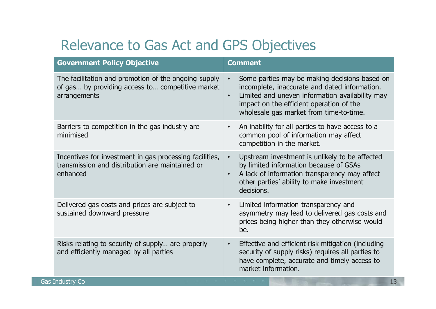## Relevance to Gas Act and GPS Objectives

| <b>Government Policy Objective</b>                                                                                       | <b>Comment</b>                                                                                                                                                                                                                                        |
|--------------------------------------------------------------------------------------------------------------------------|-------------------------------------------------------------------------------------------------------------------------------------------------------------------------------------------------------------------------------------------------------|
| The facilitation and promotion of the ongoing supply<br>of gas by providing access to competitive market<br>arrangements | Some parties may be making decisions based on<br>incomplete, inaccurate and dated information.<br>Limited and uneven information availability may<br>$\bullet$<br>impact on the efficient operation of the<br>wholesale gas market from time-to-time. |
| Barriers to competition in the gas industry are<br>minimised                                                             | An inability for all parties to have access to a<br>common pool of information may affect<br>competition in the market.                                                                                                                               |
| Incentives for investment in gas processing facilities,<br>transmission and distribution are maintained or<br>enhanced   | Upstream investment is unlikely to be affected<br>$\bullet$<br>by limited information because of GSAs<br>A lack of information transparency may affect<br>$\bullet$<br>other parties' ability to make investment<br>decisions.                        |
| Delivered gas costs and prices are subject to<br>sustained downward pressure                                             | Limited information transparency and<br>$\bullet$<br>asymmetry may lead to delivered gas costs and<br>prices being higher than they otherwise would<br>be.                                                                                            |
| Risks relating to security of supply are properly<br>and efficiently managed by all parties                              | Effective and efficient risk mitigation (including<br>$\bullet$<br>security of supply risks) requires all parties to<br>have complete, accurate and timely access to<br>market information.                                                           |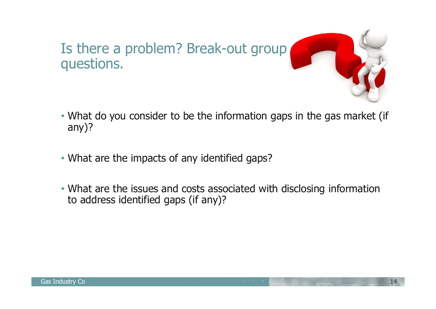

- What do you consider to be the information gaps in the gas market (if any)?
- What are the impacts of any identified gaps?
- What are the issues and costs associated with disclosing information to address identified gaps (if any)?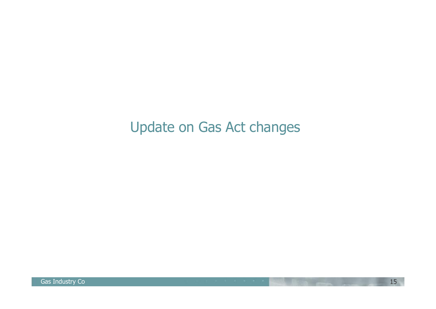## Update on Gas Act changes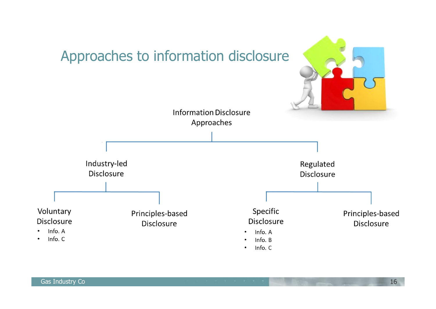

Gas Industry Co **16 and 16** and 16 and 16 and 16 and 16 and 16 and 16 and 16 and 16 and 16 and 16 and 16 and 16 and 16 and 16 and 16 and 16 and 16 and 16 and 16 and 16 and 16 and 16 and 16 and 16 and 16 and 16 and 16 and 1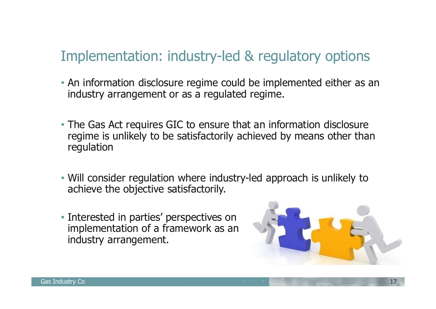## Implementation: industry-led & regulatory options

- An information disclosure regime could be implemented either as an industry arrangement or as a regulated regime.
- The Gas Act requires GIC to ensure that an information disclosure regime is unlikely to be satisfactorily achieved by means other than regulation
- Will consider regulation where industry-led approach is unlikely to achieve the objective satisfactorily.
- Interested in parties' perspectives on implementation of a framework as an industry arrangement.

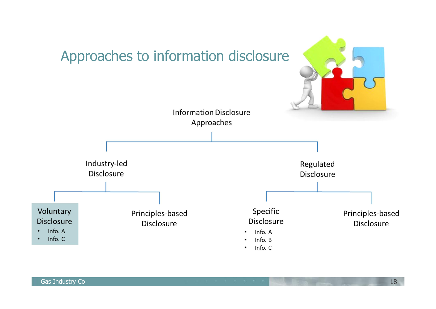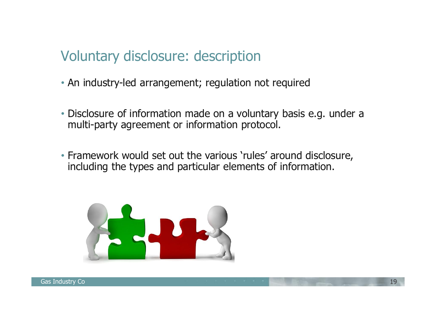### Voluntary disclosure: description

- An industry-led arrangement; regulation not required
- Disclosure of information made on a voluntary basis e.g. under a multi-party agreement or information protocol.
- Framework would set out the various 'rules' around disclosure, including the types and particular elements of information.

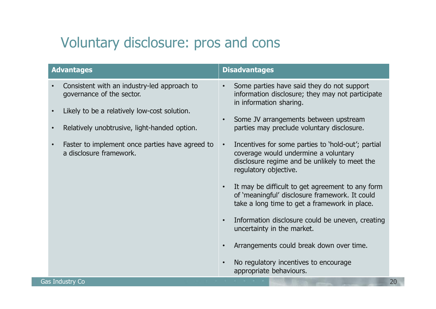## Voluntary disclosure: pros and cons

| <b>Advantages</b>                                                                                                                                                                                                                                                                                          | <b>Disadvantages</b>                                                                                                                                                                                                                                                                                                                                                                                                                                                                                                                                                                                                                                                                                                                                           |
|------------------------------------------------------------------------------------------------------------------------------------------------------------------------------------------------------------------------------------------------------------------------------------------------------------|----------------------------------------------------------------------------------------------------------------------------------------------------------------------------------------------------------------------------------------------------------------------------------------------------------------------------------------------------------------------------------------------------------------------------------------------------------------------------------------------------------------------------------------------------------------------------------------------------------------------------------------------------------------------------------------------------------------------------------------------------------------|
| Consistent with an industry-led approach to<br>$\bullet$<br>governance of the sector.<br>Likely to be a relatively low-cost solution.<br>$\bullet$<br>Relatively unobtrusive, light-handed option.<br>$\bullet$<br>Faster to implement once parties have agreed to<br>$\bullet$<br>a disclosure framework. | Some parties have said they do not support<br>$\bullet$<br>information disclosure; they may not participate<br>in information sharing.<br>Some JV arrangements between upstream<br>parties may preclude voluntary disclosure.<br>Incentives for some parties to 'hold-out'; partial<br>coverage would undermine a voluntary<br>disclosure regime and be unlikely to meet the<br>regulatory objective.<br>It may be difficult to get agreement to any form<br>of 'meaningful' disclosure framework. It could<br>take a long time to get a framework in place.<br>Information disclosure could be uneven, creating<br>uncertainty in the market.<br>Arrangements could break down over time.<br>No regulatory incentives to encourage<br>appropriate behaviours. |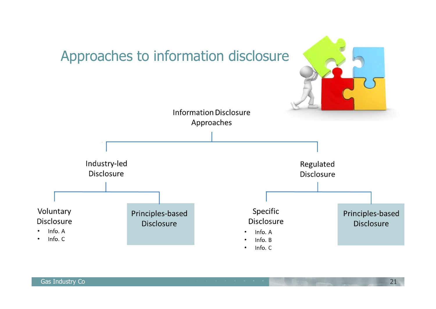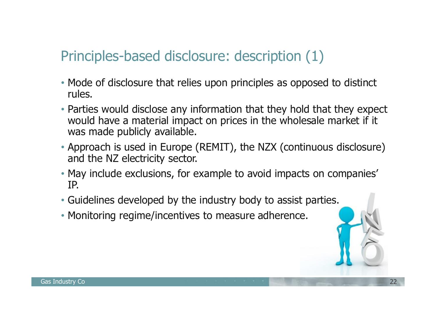## Principles-based disclosure: description (1)

- Mode of disclosure that relies upon principles as opposed to distinct rules.
- Parties would disclose any information that they hold that they expect would have a material impact on prices in the wholesale market if it was made publicly available.
- Approach is used in Europe (REMIT), the NZX (continuous disclosure) and the NZ electricity sector.
- May include exclusions, for example to avoid impacts on companies' IP.
- Guidelines developed by the industry body to assist parties.
- Monitoring regime/incentives to measure adherence.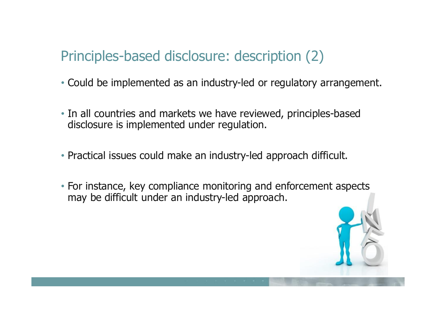### Principles-based disclosure: description (2)

- Could be implemented as an industry-led or regulatory arrangement.
- In all countries and markets we have reviewed, principles-based disclosure is implemented under regulation.
- Practical issues could make an industry-led approach difficult.
- For instance, key compliance monitoring and enforcement aspects may be difficult under an industry-led approach.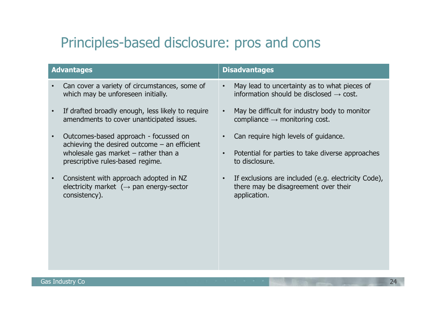## Principles-based disclosure: pros and cons

|           | <b>Advantages</b>                                                                                                                                                     | <b>Disadvantages</b>                                                                                        |
|-----------|-----------------------------------------------------------------------------------------------------------------------------------------------------------------------|-------------------------------------------------------------------------------------------------------------|
|           | Can cover a variety of circumstances, some of<br>which may be unforeseen initially.                                                                                   | May lead to uncertainty as to what pieces of<br>information should be disclosed $\rightarrow$ cost.         |
| $\bullet$ | If drafted broadly enough, less likely to require<br>amendments to cover unanticipated issues.                                                                        | May be difficult for industry body to monitor<br>compliance $\rightarrow$ monitoring cost.                  |
| $\bullet$ | Outcomes-based approach - focussed on<br>achieving the desired outcome $-$ an efficient<br>wholesale gas market $-$ rather than a<br>prescriptive rules-based regime. | Can require high levels of guidance.<br>Potential for parties to take diverse approaches<br>to disclosure.  |
| $\bullet$ | Consistent with approach adopted in NZ<br>electricity market $(\rightarrow$ pan energy-sector<br>consistency).                                                        | If exclusions are included (e.g. electricity Code),<br>there may be disagreement over their<br>application. |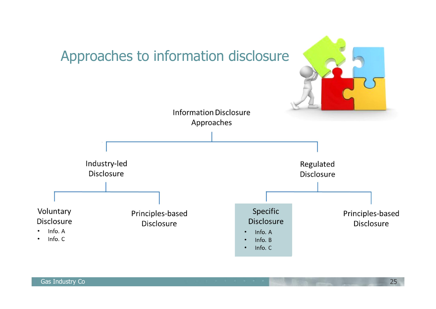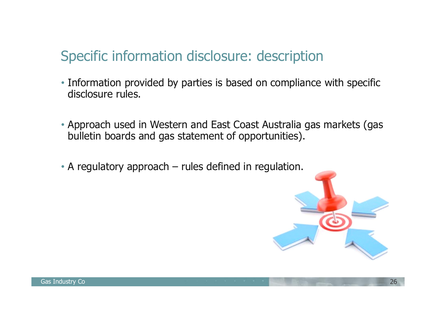### Specific information disclosure: description

- Information provided by parties is based on compliance with specific disclosure rules.
- Approach used in Western and East Coast Australia gas markets (gas bulletin boards and gas statement of opportunities).
- A regulatory approach rules defined in regulation.

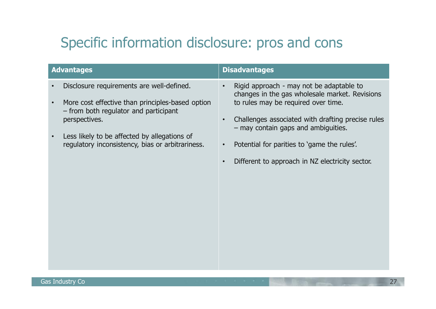## Specific information disclosure: pros and cons

| <b>Advantages</b>                                                                                                       | <b>Disadvantages</b>                                                                                                                           |
|-------------------------------------------------------------------------------------------------------------------------|------------------------------------------------------------------------------------------------------------------------------------------------|
| Disclosure requirements are well-defined.<br>$\bullet$<br>More cost effective than principles-based option<br>$\bullet$ | Rigid approach - may not be adaptable to<br>$\bullet$<br>changes in the gas wholesale market. Revisions<br>to rules may be required over time. |
| - from both regulator and participant<br>perspectives.                                                                  | Challenges associated with drafting precise rules<br>- may contain gaps and ambiguities.                                                       |
| Less likely to be affected by allegations of<br>$\bullet$<br>regulatory inconsistency, bias or arbitrariness.           | Potential for parities to 'game the rules'.                                                                                                    |
|                                                                                                                         | Different to approach in NZ electricity sector.                                                                                                |
|                                                                                                                         |                                                                                                                                                |
|                                                                                                                         |                                                                                                                                                |
|                                                                                                                         |                                                                                                                                                |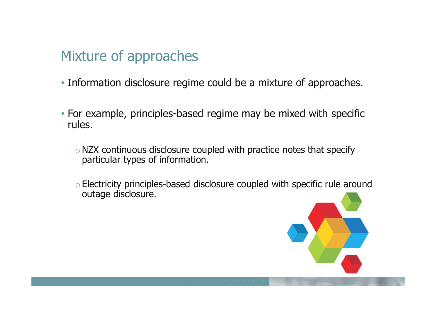### Mixture of approaches

- Information disclosure regime could be a mixture of approaches.
- For example, principles-based regime may be mixed with specific rules.
	- $\circ$  NZX continuous disclosure coupled with practice notes that specify particular types of information.
	- oElectricity principles-based disclosure coupled with specific rule around outage disclosure.

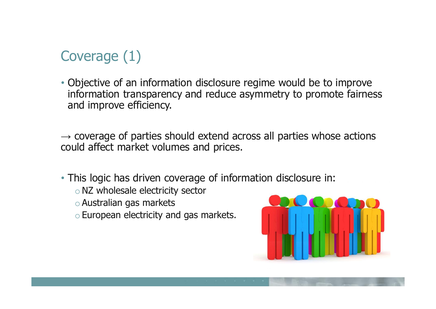## Coverage (1)

• Objective of an information disclosure regime would be to improve information transparency and reduce asymmetry to promote fairness and improve efficiency.

 $\rightarrow$  coverage of parties should extend across all parties whose actions could affect market volumes and prices.

• This logic has driven coverage of information disclosure in:

- oNZ wholesale electricity sector
- oAustralian gas markets
- oEuropean electricity and gas markets.

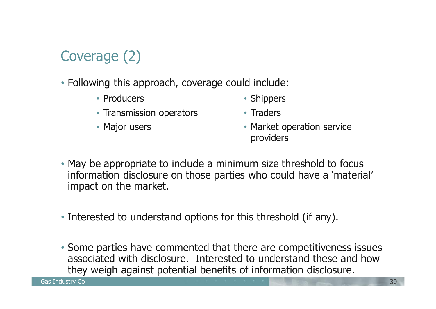## Coverage (2)

- Following this approach, coverage could include:
	- Producers
	- Transmission operators
	- Major users

• Market operation service providers

• Shippers

• Traders

- May be appropriate to include a minimum size threshold to focus information disclosure on those parties who could have a 'material' impact on the market.
- Interested to understand options for this threshold (if any).
- Some parties have commented that there are competitiveness issues associated with disclosure. Interested to understand these and how they weigh against potential benefits of information disclosure.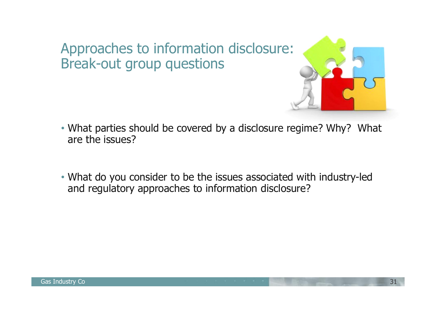#### Approaches to information disclosure: Break-out group questions



- What parties should be covered by a disclosure regime? Why? What are the issues?
- What do you consider to be the issues associated with industry-led and regulatory approaches to information disclosure?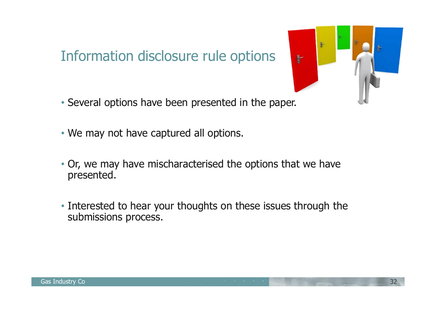### Information disclosure rule options

- Several options have been presented in the paper.
- We may not have captured all options.
- Or, we may have mischaracterised the options that we have presented.
- Interested to hear your thoughts on these issues through the submissions process.

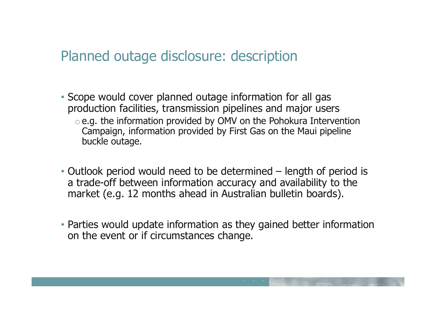#### Planned outage disclosure: description

- Scope would cover planned outage information for all gas production facilities, transmission pipelines and major users oe.g. the information provided by OMV on the Pohokura Intervention Campaign, information provided by First Gas on the Maui pipeline buckle outage.
- Outlook period would need to be determined length of period is a trade-off between information accuracy and availability to the market (e.g. 12 months ahead in Australian bulletin boards).
- Parties would update information as they gained better information on the event or if circumstances change.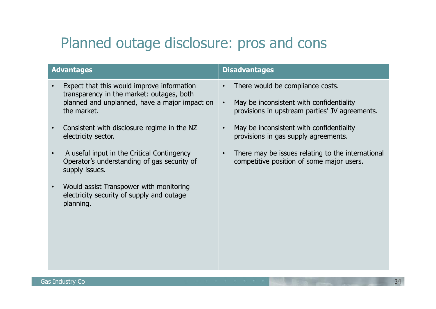### Planned outage disclosure: pros and cons

| <b>Advantages</b>                                                                                                                                       |                        | <b>Disadvantages</b>                                                                                                           |
|---------------------------------------------------------------------------------------------------------------------------------------------------------|------------------------|--------------------------------------------------------------------------------------------------------------------------------|
| Expect that this would improve information<br>transparency in the market: outages, both<br>planned and unplanned, have a major impact on<br>the market. | $\bullet$<br>$\bullet$ | There would be compliance costs.<br>May be inconsistent with confidentiality<br>provisions in upstream parties' JV agreements. |
| Consistent with disclosure regime in the NZ<br>electricity sector.                                                                                      | $\bullet$              | May be inconsistent with confidentiality<br>provisions in gas supply agreements.                                               |
| A useful input in the Critical Contingency<br>Operator's understanding of gas security of<br>supply issues.                                             | $\bullet$              | There may be issues relating to the international<br>competitive position of some major users.                                 |
| Would assist Transpower with monitoring<br>electricity security of supply and outage<br>planning.                                                       |                        |                                                                                                                                |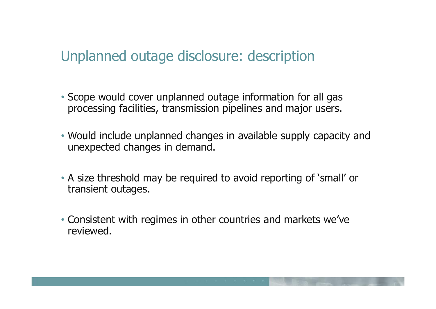#### Unplanned outage disclosure: description

- Scope would cover unplanned outage information for all gas processing facilities, transmission pipelines and major users.
- Would include unplanned changes in available supply capacity and unexpected changes in demand.
- A size threshold may be required to avoid reporting of 'small' or transient outages.
- Consistent with regimes in other countries and markets we've reviewed.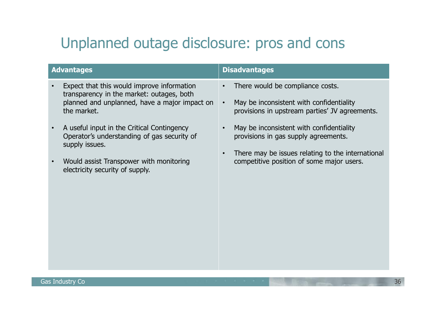## Unplanned outage disclosure: pros and cons

| <b>Advantages</b>                                                                                                                                       | <b>Disadvantages</b>                                                                                                                                            |
|---------------------------------------------------------------------------------------------------------------------------------------------------------|-----------------------------------------------------------------------------------------------------------------------------------------------------------------|
| Expect that this would improve information<br>transparency in the market: outages, both<br>planned and unplanned, have a major impact on<br>the market. | There would be compliance costs.<br>$\bullet$<br>May be inconsistent with confidentiality<br>$\bullet$<br>provisions in upstream parties' JV agreements.        |
| A useful input in the Critical Contingency<br>Operator's understanding of gas security of<br>supply issues.                                             | May be inconsistent with confidentiality<br>$\bullet$<br>provisions in gas supply agreements.<br>There may be issues relating to the international<br>$\bullet$ |
| Would assist Transpower with monitoring<br>electricity security of supply.                                                                              | competitive position of some major users.                                                                                                                       |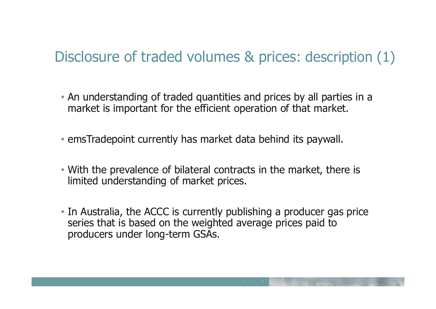## Disclosure of traded volumes & prices: description (1)

- An understanding of traded quantities and prices by all parties in a market is important for the efficient operation of that market.
- emsTradepoint currently has market data behind its paywall.
- With the prevalence of bilateral contracts in the market, there is limited understanding of market prices.
- In Australia, the ACCC is currently publishing a producer gas price series that is based on the weighted average prices paid to producers under long-term GSAs.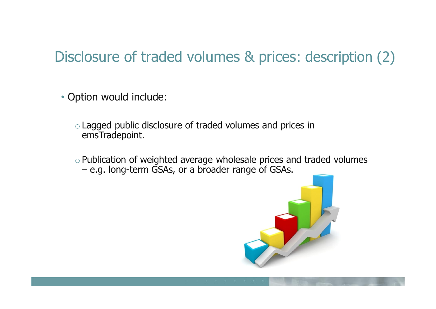## Disclosure of traded volumes & prices: description (2)

• Option would include:

- oLagged public disclosure of traded volumes and prices in emsTradepoint.
- oPublication of weighted average wholesale prices and traded volumes – e.g. long-term GSAs, or a broader range of GSAs.

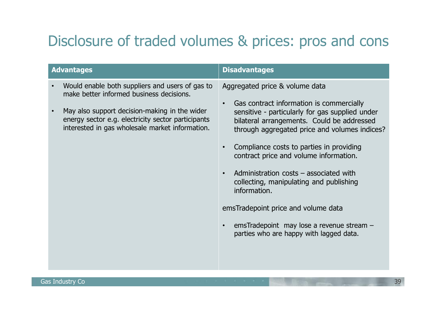## Disclosure of traded volumes & prices: pros and cons

| <b>Advantages</b>                                                                                                                                                                                                                                                               | <b>Disadvantages</b>                                                                                                                                                                                                                                                                                                                                                                                                                                                                                                                                     |
|---------------------------------------------------------------------------------------------------------------------------------------------------------------------------------------------------------------------------------------------------------------------------------|----------------------------------------------------------------------------------------------------------------------------------------------------------------------------------------------------------------------------------------------------------------------------------------------------------------------------------------------------------------------------------------------------------------------------------------------------------------------------------------------------------------------------------------------------------|
| Would enable both suppliers and users of gas to<br>$\bullet$<br>make better informed business decisions.<br>May also support decision-making in the wider<br>$\bullet$<br>energy sector e.g. electricity sector participants<br>interested in gas wholesale market information. | Aggregated price & volume data<br>Gas contract information is commercially<br>sensitive - particularly for gas supplied under<br>bilateral arrangements. Could be addressed<br>through aggregated price and volumes indices?<br>Compliance costs to parties in providing<br>contract price and volume information.<br>Administration costs $-$ associated with<br>collecting, manipulating and publishing<br>information.<br>emsTradepoint price and volume data<br>emsTradepoint may lose a revenue stream -<br>parties who are happy with lagged data. |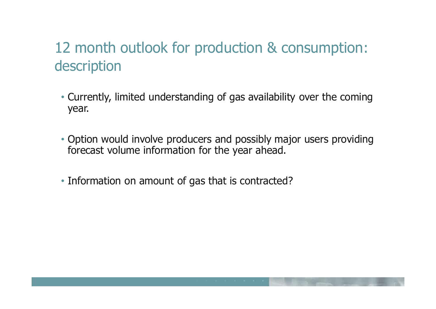## 12 month outlook for production & consumption: description

- Currently, limited understanding of gas availability over the coming year.
- Option would involve producers and possibly major users providing forecast volume information for the year ahead.
- Information on amount of gas that is contracted?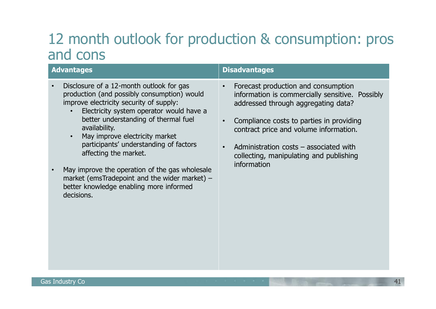#### 12 month outlook for production & consumption: pros and cons

|           | <b>Advantages</b>                                                                                                                                                                                                                                                                                                                            | <b>Disadvantages</b>                                                                                                                                                                                                                                                                                                                                             |
|-----------|----------------------------------------------------------------------------------------------------------------------------------------------------------------------------------------------------------------------------------------------------------------------------------------------------------------------------------------------|------------------------------------------------------------------------------------------------------------------------------------------------------------------------------------------------------------------------------------------------------------------------------------------------------------------------------------------------------------------|
| $\bullet$ | Disclosure of a 12-month outlook for gas<br>production (and possibly consumption) would<br>improve electricity security of supply:<br>Electricity system operator would have a<br>better understanding of thermal fuel<br>availability.<br>May improve electricity market<br>participants' understanding of factors<br>affecting the market. | Forecast production and consumption<br>$\bullet$<br>information is commercially sensitive. Possibly<br>addressed through aggregating data?<br>Compliance costs to parties in providing<br>$\bullet$<br>contract price and volume information.<br>Administration $costs - associated with$<br>$\bullet$<br>collecting, manipulating and publishing<br>information |
|           | May improve the operation of the gas wholesale<br>market (emsTradepoint and the wider market) -<br>better knowledge enabling more informed<br>decisions.                                                                                                                                                                                     |                                                                                                                                                                                                                                                                                                                                                                  |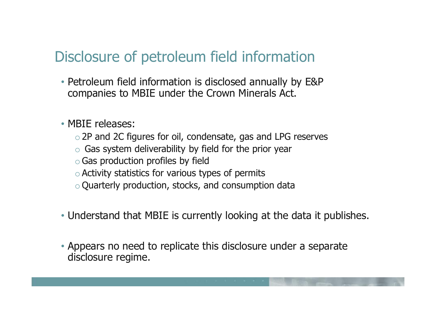## Disclosure of petroleum field information

- Petroleum field information is disclosed annually by E&P companies to MBIE under the Crown Minerals Act.
- MBIE releases:
	- o2P and 2C figures for oil, condensate, gas and LPG reserves
	- $\circ$  Gas system deliverability by field for the prior year
	- oGas production profiles by field
	- $\circ$  Activity statistics for various types of permits
	- o Quarterly production, stocks, and consumption data
- Understand that MBIE is currently looking at the data it publishes.
- Appears no need to replicate this disclosure under a separate disclosure regime.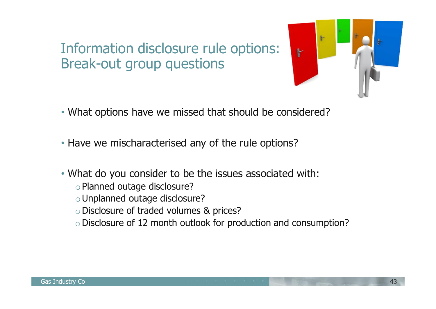### Information disclosure rule options: Break-out group questions



- What options have we missed that should be considered?
- Have we mischaracterised any of the rule options?
- What do you consider to be the issues associated with:
	- oPlanned outage disclosure?
	- oUnplanned outage disclosure?
	- oDisclosure of traded volumes & prices?
	- oDisclosure of 12 month outlook for production and consumption?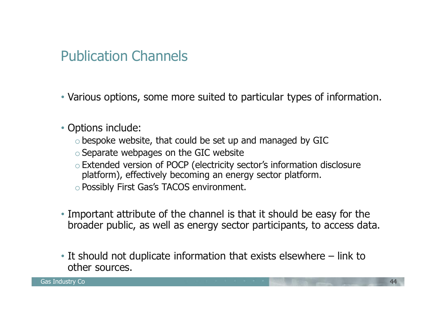#### Publication Channels

• Various options, some more suited to particular types of information.

- Options include:
	- $\circ$  bespoke website, that could be set up and managed by GIC
	- $\circ$  Separate webpages on the GIC website
	- oExtended version of POCP (electricity sector's information disclosure platform), effectively becoming an energy sector platform.
	- oPossibly First Gas's TACOS environment.
- Important attribute of the channel is that it should be easy for the broader public, as well as energy sector participants, to access data.
- It should not duplicate information that exists elsewhere link to other sources.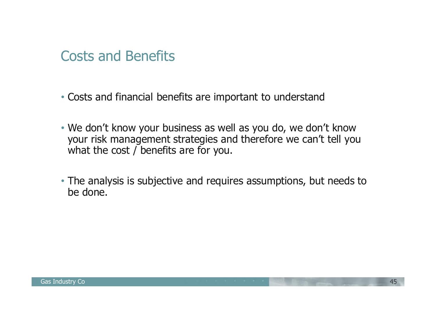#### Costs and Benefits

- Costs and financial benefits are important to understand
- We don't know your business as well as you do, we don't know your risk management strategies and therefore we can't tell you what the cost / benefits are for you.
- The analysis is subjective and requires assumptions, but needs to be done.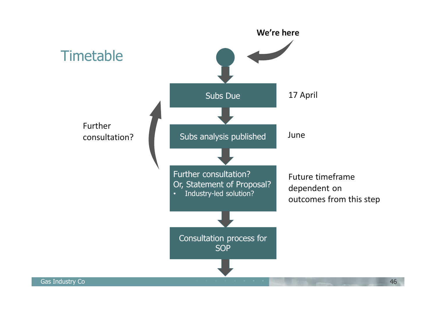